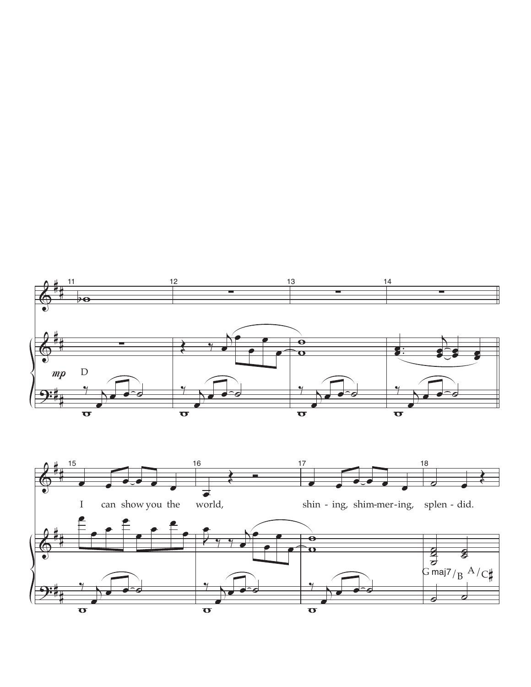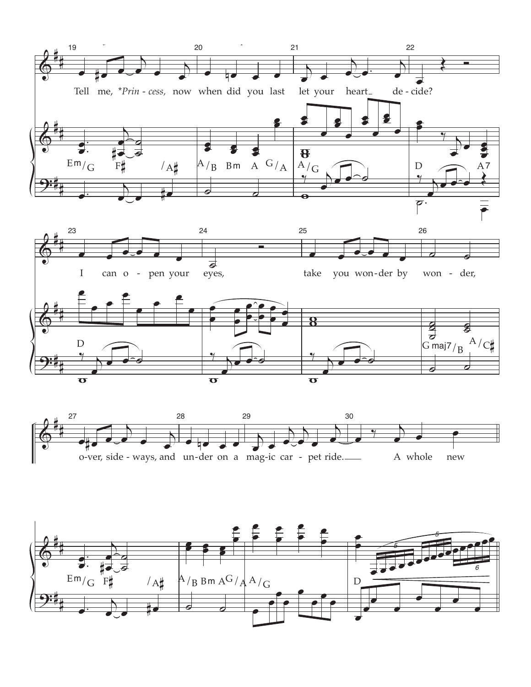